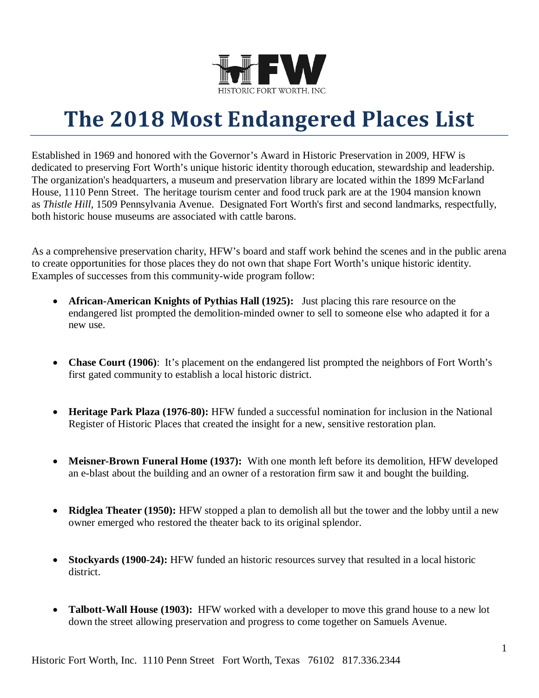

# **The 2018 Most Endangered Places List**

Established in 1969 and honored with the Governor's Award in Historic Preservation in 2009, HFW is dedicated to preserving Fort Worth's unique historic identity thorough education, stewardship and leadership. The organization's headquarters, a museum and preservation library are located within the 1899 McFarland House, 1110 Penn Street. The heritage tourism center and food truck park are at the 1904 mansion known as *Thistle Hill*, 1509 Pennsylvania Avenue. Designated Fort Worth's first and second landmarks, respectfully, both historic house museums are associated with cattle barons.

As a comprehensive preservation charity, HFW's board and staff work behind the scenes and in the public arena to create opportunities for those places they do not own that shape Fort Worth's unique historic identity. Examples of successes from this community-wide program follow:

- **African-American Knights of Pythias Hall (1925):** Just placing this rare resource on the endangered list prompted the demolition-minded owner to sell to someone else who adapted it for a new use.
- **Chase Court (1906)**: It's placement on the endangered list prompted the neighbors of Fort Worth's first gated community to establish a local historic district.
- **Heritage Park Plaza (1976-80):** HFW funded a successful nomination for inclusion in the National Register of Historic Places that created the insight for a new, sensitive restoration plan.
- **Meisner-Brown Funeral Home (1937):** With one month left before its demolition, HFW developed an e-blast about the building and an owner of a restoration firm saw it and bought the building.
- **Ridglea Theater (1950):** HFW stopped a plan to demolish all but the tower and the lobby until a new owner emerged who restored the theater back to its original splendor.
- **Stockyards (1900-24):** HFW funded an historic resources survey that resulted in a local historic district.
- **Talbott-Wall House (1903):** HFW worked with a developer to move this grand house to a new lot down the street allowing preservation and progress to come together on Samuels Avenue.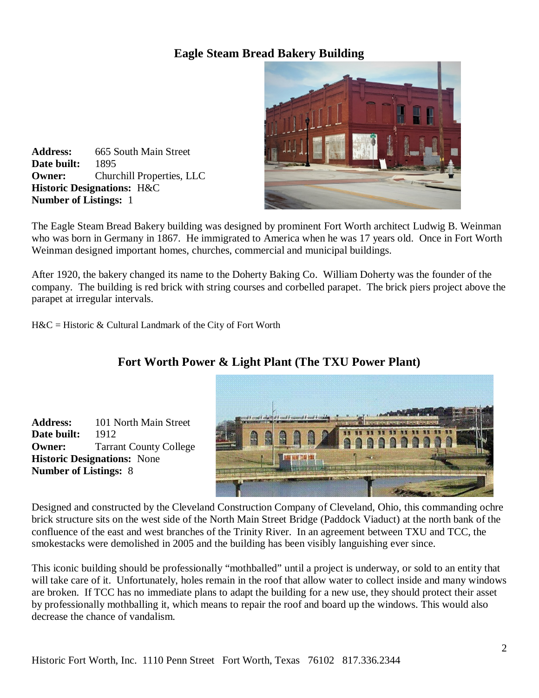### **Eagle Steam Bread Bakery Building**



**Address:** 665 South Main Street **Date built:** 1895 **Owner:** Churchill Properties, LLC **Historic Designations:** H&C **Number of Listings:** 1

The Eagle Steam Bread Bakery building was designed by prominent Fort Worth architect Ludwig B. Weinman who was born in Germany in 1867. He immigrated to America when he was 17 years old. Once in Fort Worth Weinman designed important homes, churches, commercial and municipal buildings.

After 1920, the bakery changed its name to the Doherty Baking Co. William Doherty was the founder of the company. The building is red brick with string courses and corbelled parapet. The brick piers project above the parapet at irregular intervals.

 $H&C = Historic & Cultural Landmark of the City of Fort Worth$ 



### **Fort Worth Power & Light Plant (The TXU Power Plant)**

**Date built:** 1912 **Owner:** Tarrant County College **Historic Designations:** None **Number of Listings:** 8

**Address:** 101 North Main Street

Designed and constructed by the Cleveland Construction Company of Cleveland, Ohio, this commanding ochre brick structure sits on the west side of the North Main Street Bridge (Paddock Viaduct) at the north bank of the confluence of the east and west branches of the Trinity River. In an agreement between TXU and TCC, the smokestacks were demolished in 2005 and the building has been visibly languishing ever since.

This iconic building should be professionally "mothballed" until a project is underway, or sold to an entity that will take care of it. Unfortunately, holes remain in the roof that allow water to collect inside and many windows are broken. If TCC has no immediate plans to adapt the building for a new use, they should protect their asset by professionally mothballing it, which means to repair the roof and board up the windows. This would also decrease the chance of vandalism.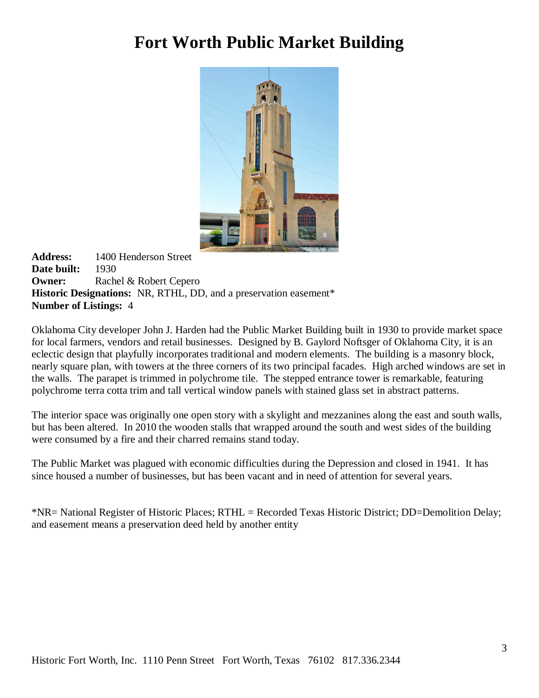## **Fort Worth Public Market Building**



**Address:** 1400 Henderson Street **Date built:** 1930 **Owner:** Rachel & Robert Cepero **Historic Designations:** NR, RTHL, DD, and a preservation easement\* **Number of Listings:** 4

Oklahoma City developer John J. Harden had the Public Market Building built in 1930 to provide market space for local farmers, vendors and retail businesses. Designed by B. Gaylord Noftsger of Oklahoma City, it is an eclectic design that playfully incorporates traditional and modern elements. The building is a masonry block, nearly square plan, with towers at the three corners of its two principal facades. High arched windows are set in the walls. The parapet is trimmed in polychrome tile. The stepped entrance tower is remarkable, featuring polychrome terra cotta trim and tall vertical window panels with stained glass set in abstract patterns.

The interior space was originally one open story with a skylight and mezzanines along the east and south walls, but has been altered. In 2010 the wooden stalls that wrapped around the south and west sides of the building were consumed by a fire and their charred remains stand today.

The Public Market was plagued with economic difficulties during the Depression and closed in 1941. It has since housed a number of businesses, but has been vacant and in need of attention for several years.

\*NR= National Register of Historic Places; RTHL = Recorded Texas Historic District; DD=Demolition Delay; and easement means a preservation deed held by another entity